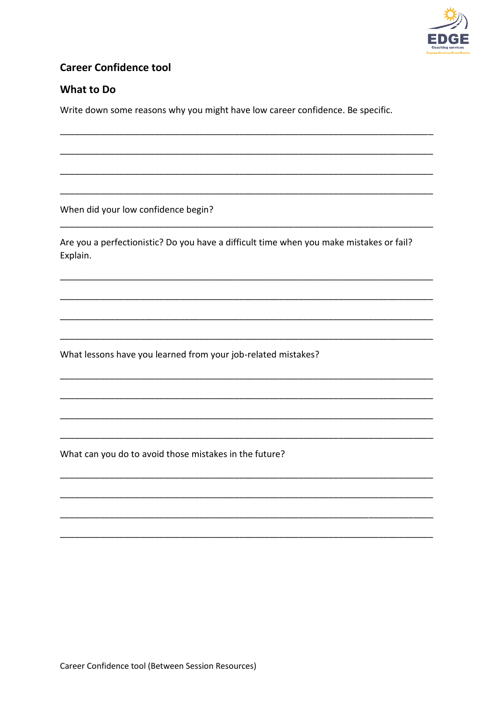

## **Career Confidence tool**

## What to Do

Write down some reasons why you might have low career confidence. Be specific.

When did your low confidence begin?

Are you a perfectionistic? Do you have a difficult time when you make mistakes or fail? Explain.

What lessons have you learned from your job-related mistakes?

What can you do to avoid those mistakes in the future?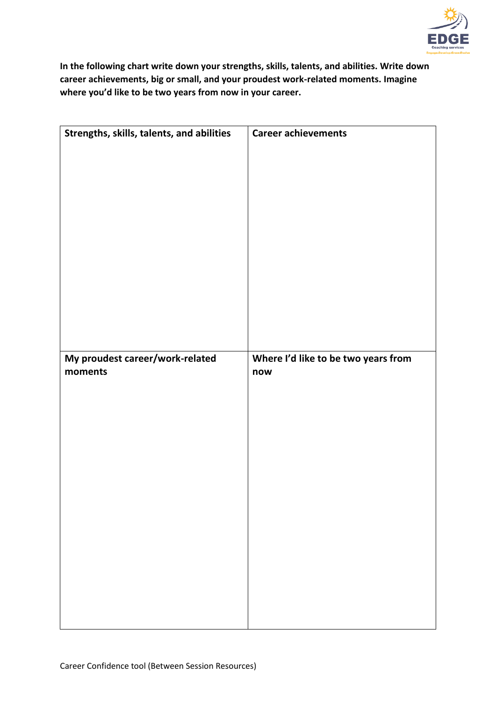

**In the following chart write down your strengths, skills, talents, and abilities. Write down career achievements, big or small, and your proudest work-related moments. Imagine where you'd like to be two years from now in your career.**

| Strengths, skills, talents, and abilities | <b>Career achievements</b>          |
|-------------------------------------------|-------------------------------------|
|                                           |                                     |
|                                           |                                     |
|                                           |                                     |
|                                           |                                     |
|                                           |                                     |
|                                           |                                     |
|                                           |                                     |
|                                           |                                     |
|                                           |                                     |
|                                           |                                     |
|                                           |                                     |
|                                           |                                     |
|                                           |                                     |
|                                           |                                     |
|                                           |                                     |
|                                           |                                     |
|                                           |                                     |
|                                           |                                     |
|                                           |                                     |
|                                           |                                     |
|                                           |                                     |
|                                           |                                     |
|                                           |                                     |
|                                           |                                     |
|                                           |                                     |
| My proudest career/work-related           | Where I'd like to be two years from |
|                                           |                                     |
| moments                                   | now                                 |
|                                           |                                     |
|                                           |                                     |
|                                           |                                     |
|                                           |                                     |
|                                           |                                     |
|                                           |                                     |
|                                           |                                     |
|                                           |                                     |
|                                           |                                     |
|                                           |                                     |
|                                           |                                     |
|                                           |                                     |
|                                           |                                     |
|                                           |                                     |
|                                           |                                     |
|                                           |                                     |
|                                           |                                     |
|                                           |                                     |
|                                           |                                     |
|                                           |                                     |
|                                           |                                     |
|                                           |                                     |
|                                           |                                     |
|                                           |                                     |
|                                           |                                     |
|                                           |                                     |
|                                           |                                     |
|                                           |                                     |
|                                           |                                     |
|                                           |                                     |